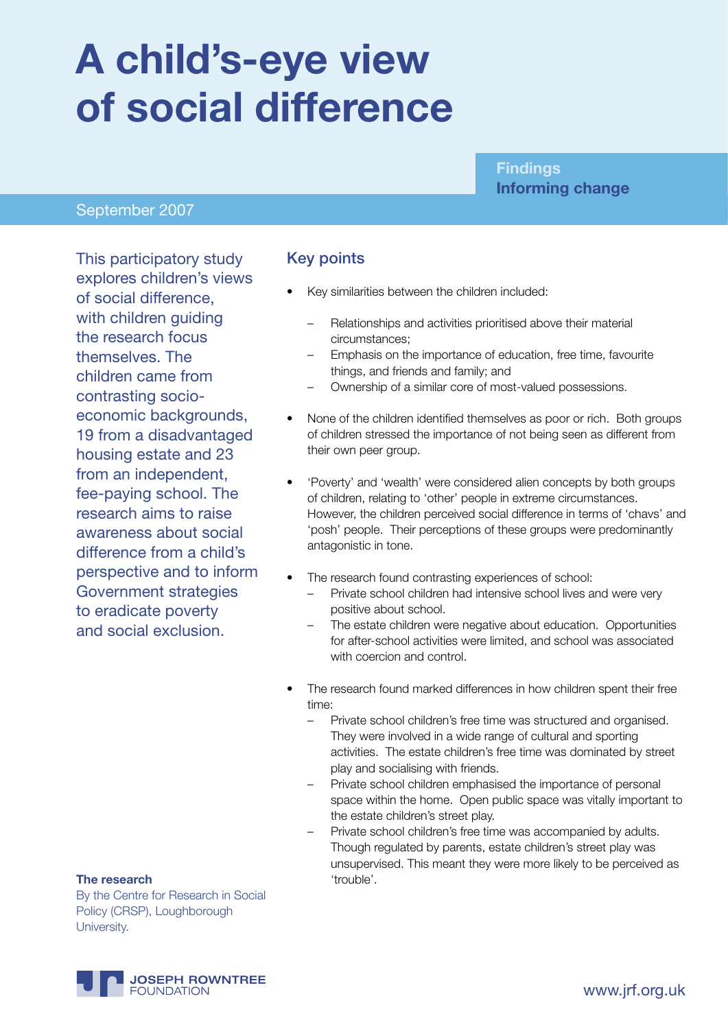# **A child's-eye view of social difference**

#### **Findings Informing change**

#### September 2007

This participatory study explores children's views of social difference, with children quiding the research focus themselves. The children came from contrasting socioeconomic backgrounds, 19 from a disadvantaged housing estate and 23 from an independent, fee-paying school. The research aims to raise awareness about social difference from a child's perspective and to inform Government strategies to eradicate poverty and social exclusion.

#### Key points

- Key similarities between the children included:
	- Relationships and activities prioritised above their material circumstances;
	- Emphasis on the importance of education, free time, favourite things, and friends and family; and
	- Ownership of a similar core of most-valued possessions.
- None of the children identified themselves as poor or rich. Both groups of children stressed the importance of not being seen as different from their own peer group.
- 'Poverty' and 'wealth' were considered alien concepts by both groups of children, relating to 'other' people in extreme circumstances. However, the children perceived social difference in terms of 'chavs' and 'posh' people. Their perceptions of these groups were predominantly antagonistic in tone.
- The research found contrasting experiences of school:
	- Private school children had intensive school lives and were very positive about school.
	- The estate children were negative about education. Opportunities for after-school activities were limited, and school was associated with coercion and control.
- The research found marked differences in how children spent their free time:
	- Private school children's free time was structured and organised. They were involved in a wide range of cultural and sporting activities. The estate children's free time was dominated by street play and socialising with friends.
	- Private school children emphasised the importance of personal space within the home. Open public space was vitally important to the estate children's street play.
	- Private school children's free time was accompanied by adults. Though regulated by parents, estate children's street play was unsupervised. This meant they were more likely to be perceived as

#### **The research**  $\qquad \qquad \text{``trouble''}$

By the Centre for Research in Social Policy (CRSP), Loughborough University.

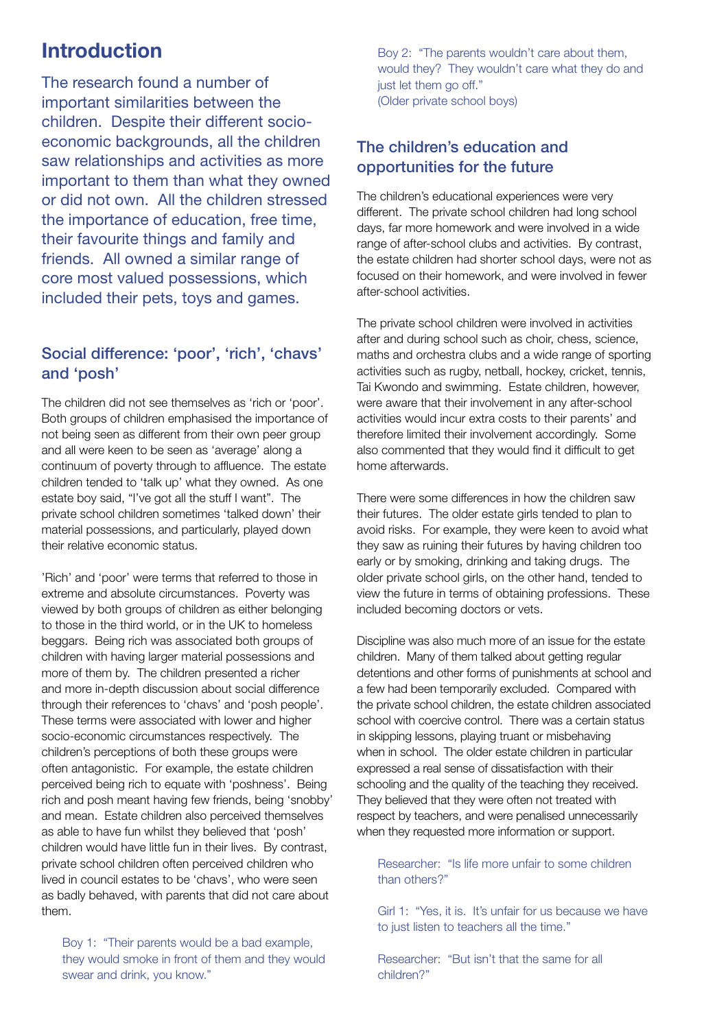## **Introduction**

The research found a number of important similarities between the children. Despite their different socioeconomic backgrounds, all the children saw relationships and activities as more important to them than what they owned or did not own. All the children stressed the importance of education, free time, their favourite things and family and friends. All owned a similar range of core most valued possessions, which included their pets, toys and games.

#### Social difference: 'poor', 'rich', 'chavs' and 'posh'

The children did not see themselves as 'rich or 'poor'. Both groups of children emphasised the importance of not being seen as different from their own peer group and all were keen to be seen as 'average' along a continuum of poverty through to affluence. The estate children tended to 'talk up' what they owned. As one estate boy said, "I've got all the stuff I want". The private school children sometimes 'talked down' their material possessions, and particularly, played down their relative economic status.

'Rich' and 'poor' were terms that referred to those in extreme and absolute circumstances. Poverty was viewed by both groups of children as either belonging to those in the third world, or in the UK to homeless beggars. Being rich was associated both groups of children with having larger material possessions and more of them by. The children presented a richer and more in-depth discussion about social difference through their references to 'chavs' and 'posh people'. These terms were associated with lower and higher socio-economic circumstances respectively. The children's perceptions of both these groups were often antagonistic. For example, the estate children perceived being rich to equate with 'poshness'. Being rich and posh meant having few friends, being 'snobby' and mean. Estate children also perceived themselves as able to have fun whilst they believed that 'posh' children would have little fun in their lives. By contrast, private school children often perceived children who lived in council estates to be 'chavs', who were seen as badly behaved, with parents that did not care about them.

Boy 1: "Their parents would be a bad example, they would smoke in front of them and they would swear and drink, you know."

Boy 2: "The parents wouldn't care about them, would they? They wouldn't care what they do and just let them go off." (Older private school boys)

#### The children's education and opportunities for the future

The children's educational experiences were very different. The private school children had long school days, far more homework and were involved in a wide range of after-school clubs and activities. By contrast, the estate children had shorter school days, were not as focused on their homework, and were involved in fewer after-school activities.

The private school children were involved in activities after and during school such as choir, chess, science, maths and orchestra clubs and a wide range of sporting activities such as rugby, netball, hockey, cricket, tennis, Tai Kwondo and swimming. Estate children, however, were aware that their involvement in any after-school activities would incur extra costs to their parents' and therefore limited their involvement accordingly. Some also commented that they would find it difficult to get home afterwards.

There were some differences in how the children saw their futures. The older estate girls tended to plan to avoid risks. For example, they were keen to avoid what they saw as ruining their futures by having children too early or by smoking, drinking and taking drugs. The older private school girls, on the other hand, tended to view the future in terms of obtaining professions. These included becoming doctors or vets.

Discipline was also much more of an issue for the estate children. Many of them talked about getting regular detentions and other forms of punishments at school and a few had been temporarily excluded. Compared with the private school children, the estate children associated school with coercive control. There was a certain status in skipping lessons, playing truant or misbehaving when in school. The older estate children in particular expressed a real sense of dissatisfaction with their schooling and the quality of the teaching they received. They believed that they were often not treated with respect by teachers, and were penalised unnecessarily when they requested more information or support.

Researcher: "Is life more unfair to some children than others?"

Girl 1: "Yes, it is. It's unfair for us because we have to just listen to teachers all the time."

Researcher: "But isn't that the same for all children?"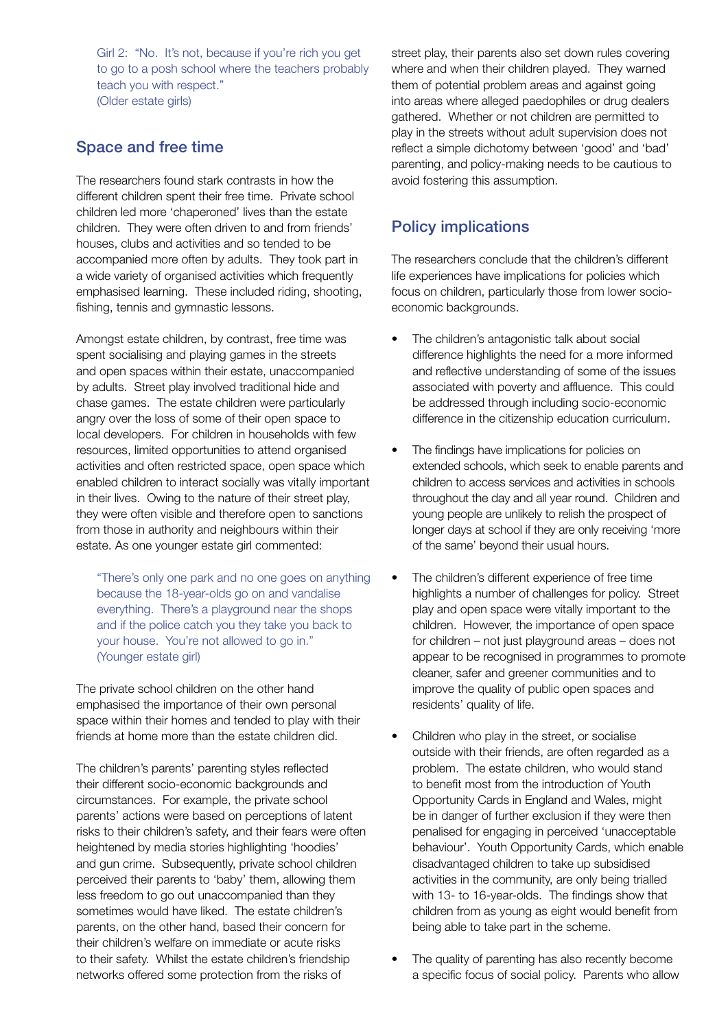Girl 2: "No. It's not, because if you're rich you get to go to a posh school where the teachers probably teach you with respect." (Older estate girls)

#### Space and free time

The researchers found stark contrasts in how the different children spent their free time. Private school children led more 'chaperoned' lives than the estate children. They were often driven to and from friends' houses, clubs and activities and so tended to be accompanied more often by adults. They took part in a wide variety of organised activities which frequently emphasised learning. These included riding, shooting, fishing, tennis and gymnastic lessons.

Amongst estate children, by contrast, free time was spent socialising and playing games in the streets and open spaces within their estate, unaccompanied by adults. Street play involved traditional hide and chase games. The estate children were particularly angry over the loss of some of their open space to local developers. For children in households with few resources, limited opportunities to attend organised activities and often restricted space, open space which enabled children to interact socially was vitally important in their lives. Owing to the nature of their street play, they were often visible and therefore open to sanctions from those in authority and neighbours within their estate. As one younger estate girl commented:

"There's only one park and no one goes on anything because the 18-year-olds go on and vandalise everything. There's a playground near the shops and if the police catch you they take you back to your house. You're not allowed to go in." (Younger estate girl)

The private school children on the other hand emphasised the importance of their own personal space within their homes and tended to play with their friends at home more than the estate children did.

The children's parents' parenting styles reflected their different socio-economic backgrounds and circumstances. For example, the private school parents' actions were based on perceptions of latent risks to their children's safety, and their fears were often heightened by media stories highlighting 'hoodies' and gun crime. Subsequently, private school children perceived their parents to 'baby' them, allowing them less freedom to go out unaccompanied than they sometimes would have liked. The estate children's parents, on the other hand, based their concern for their children's welfare on immediate or acute risks to their safety. Whilst the estate children's friendship networks offered some protection from the risks of

street play, their parents also set down rules covering where and when their children played. They warned them of potential problem areas and against going into areas where alleged paedophiles or drug dealers gathered. Whether or not children are permitted to play in the streets without adult supervision does not reflect a simple dichotomy between 'good' and 'bad' parenting, and policy-making needs to be cautious to avoid fostering this assumption.

### Policy implications

The researchers conclude that the children's different life experiences have implications for policies which focus on children, particularly those from lower socioeconomic backgrounds.

- The children's antagonistic talk about social difference highlights the need for a more informed and reflective understanding of some of the issues associated with poverty and affluence. This could be addressed through including socio-economic difference in the citizenship education curriculum.
- The findings have implications for policies on extended schools, which seek to enable parents and children to access services and activities in schools throughout the day and all year round. Children and young people are unlikely to relish the prospect of longer days at school if they are only receiving 'more of the same' beyond their usual hours.
- The children's different experience of free time highlights a number of challenges for policy. Street play and open space were vitally important to the children. However, the importance of open space for children – not just playground areas – does not appear to be recognised in programmes to promote cleaner, safer and greener communities and to improve the quality of public open spaces and residents' quality of life.
- Children who play in the street, or socialise outside with their friends, are often regarded as a problem. The estate children, who would stand to benefit most from the introduction of Youth Opportunity Cards in England and Wales, might be in danger of further exclusion if they were then penalised for engaging in perceived 'unacceptable behaviour'. Youth Opportunity Cards, which enable disadvantaged children to take up subsidised activities in the community, are only being trialled with 13- to 16-year-olds. The findings show that children from as young as eight would benefit from being able to take part in the scheme.
- The quality of parenting has also recently become a specific focus of social policy. Parents who allow